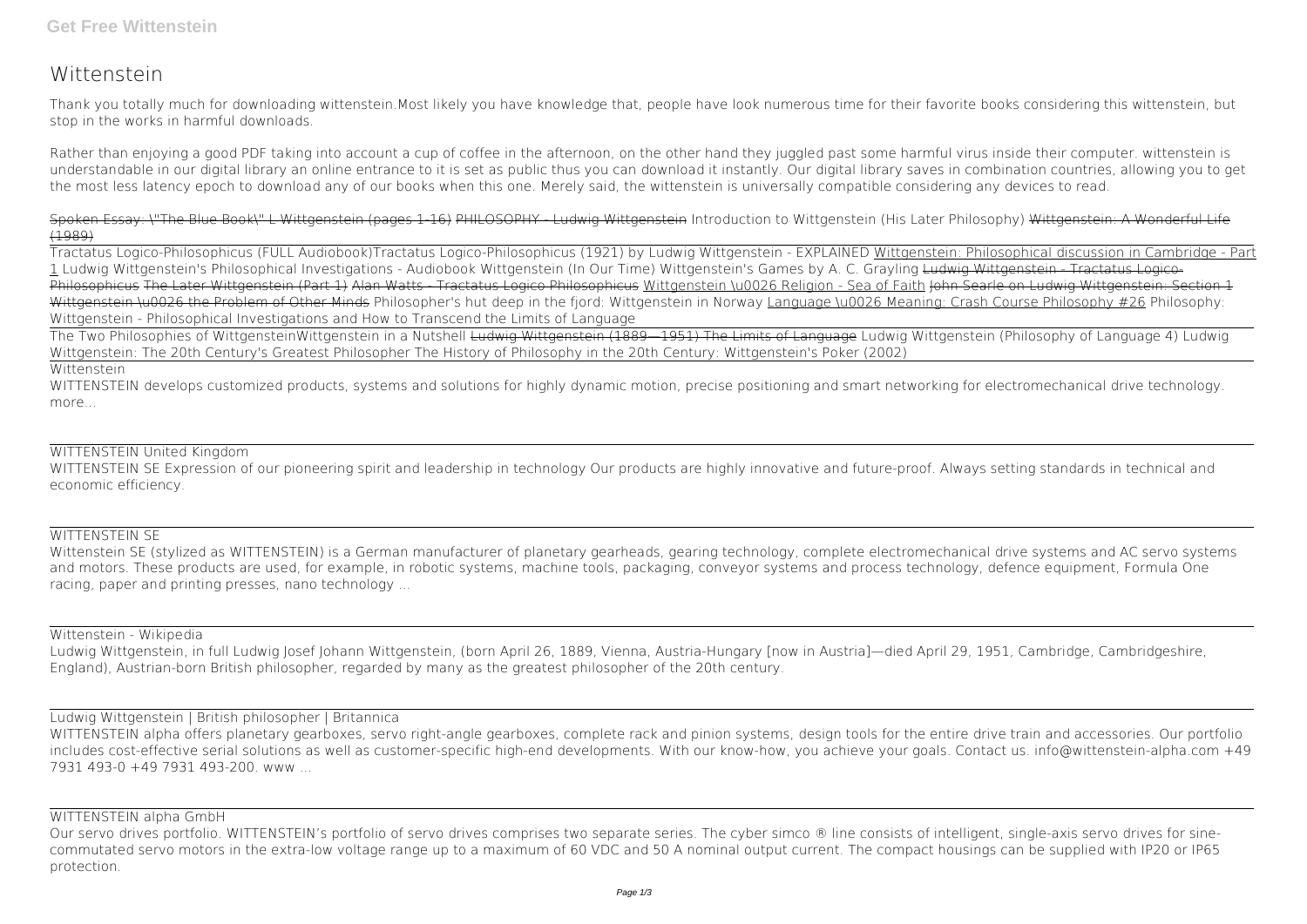# **Wittenstein**

Thank you totally much for downloading **wittenstein**.Most likely you have knowledge that, people have look numerous time for their favorite books considering this wittenstein, but stop in the works in harmful downloads.

Rather than enjoying a good PDF taking into account a cup of coffee in the afternoon, on the other hand they juggled past some harmful virus inside their computer. **wittenstein** is understandable in our digital library an online entrance to it is set as public thus you can download it instantly. Our digital library saves in combination countries, allowing you to get the most less latency epoch to download any of our books when this one. Merely said, the wittenstein is universally compatible considering any devices to read.

Spoken Essay: \"The Blue Book\" L Wittgenstein (pages 1-16) PHILOSOPHY - Ludwig Wittgenstein *Introduction to Wittgenstein (His Later Philosophy)* Wittgenstein: A Wonderful Life (1989)

WITTENSTEIN develops customized products, systems and solutions for highly dynamic motion, precise positioning and smart networking for electromechanical drive technology. more...

WITTENSTEIN SE Expression of our pioneering spirit and leadership in technology Our products are highly innovative and future-proof. Always setting standards in technical and economic efficiency.

Tractatus Logico-Philosophicus (FULL Audiobook)**Tractatus Logico-Philosophicus (1921) by Ludwig Wittgenstein - EXPLAINED** Wittgenstein: Philosophical discussion in Cambridge - Part 1 **Ludwig Wittgenstein's Philosophical Investigations - Audiobook Wittgenstein (In Our Time)** *Wittgenstein's Games by A. C. Grayling* Ludwig Wittgenstein - Tractatus Logico-Philosophicus The Later Wittgenstein (Part 1) Alan Watts - Tractatus Logico Philosophicus Wittgenstein \u0026 Religion - Sea of Faith John Searle on Ludwig Wittgenstein: Section 1 Wittgenstein \u0026 the Problem of Other Minds **Philosopher's hut deep in the fjord: Wittgenstein in Norway** Language \u0026 Meaning: Crash Course Philosophy #26 *Philosophy: Wittgenstein - Philosophical Investigations and How to Transcend the Limits of Language*

WITTENSTEIN alpha offers planetary gearboxes, servo right-angle gearboxes, complete rack and pinion systems, design tools for the entire drive train and accessories. Our portfolio includes cost-effective serial solutions as well as customer-specific high-end developments. With our know-how, you achieve your goals. Contact us. info@wittenstein-alpha.com +49 7931 493-0 +49 7931 493-200. www ...

The Two Philosophies of Wittgenstein**Wittgenstein in a Nutshell** Ludwig Wittgenstein (1889—1951) The Limits of Language *Ludwig Wittgenstein (Philosophy of Language 4) Ludwig Wittgenstein: The 20th Century's Greatest Philosopher* **The History of Philosophy in the 20th Century: Wittgenstein's Poker (2002)**

Our servo drives portfolio. WITTENSTEIN's portfolio of servo drives comprises two separate series. The cyber simco ® line consists of intelligent, single-axis servo drives for sinecommutated servo motors in the extra-low voltage range up to a maximum of 60 VDC and 50 A nominal output current. The compact housings can be supplied with IP20 or IP65 protection.

#### Wittenstein

## WITTENSTEIN United Kingdom

## WITTENSTEIN SE

Wittenstein SE (stylized as WITTENSTEIN) is a German manufacturer of planetary gearheads, gearing technology, complete electromechanical drive systems and AC servo systems and motors. These products are used, for example, in robotic systems, machine tools, packaging, conveyor systems and process technology, defence equipment, Formula One racing, paper and printing presses, nano technology ...

## Wittenstein - Wikipedia

Ludwig Wittgenstein, in full Ludwig Josef Johann Wittgenstein, (born April 26, 1889, Vienna, Austria-Hungary [now in Austria]—died April 29, 1951, Cambridge, Cambridgeshire, England), Austrian-born British philosopher, regarded by many as the greatest philosopher of the 20th century.

## Ludwig Wittgenstein | British philosopher | Britannica

## WITTENSTEIN alpha GmbH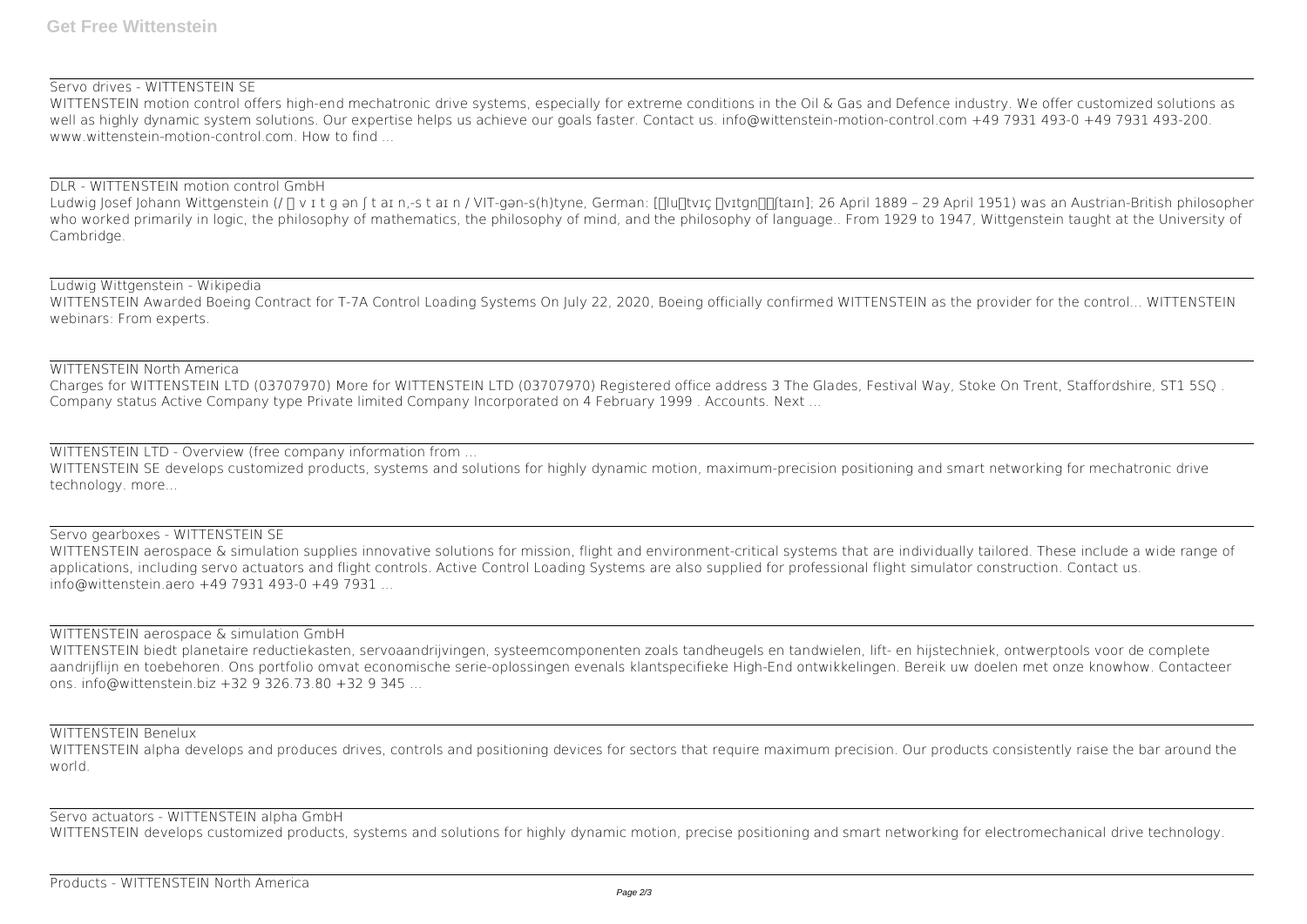## Servo drives - WITTENSTEIN SE

WITTENSTEIN motion control offers high-end mechatronic drive systems, especially for extreme conditions in the Oil & Gas and Defence industry. We offer customized solutions as well as highly dynamic system solutions. Our expertise helps us achieve our goals faster. Contact us. info@wittenstein-motion-control.com +49 7931 493-0 +49 7931 493-200. www.wittenstein-motion-control.com. How to find ...

Ludwig Josef Johann Wittgenstein (/ [] v I t g an [t aI n,-s t aI n / VIT-gan-s(h)tyne, German: [[]lu[]tvɪç []vɪtɡn][[taɪn]; 26 April 1889 - 29 April 1951) was an Austrian-British philosopher who worked primarily in logic, the philosophy of mathematics, the philosophy of mind, and the philosophy of language.. From 1929 to 1947, Wittgenstein taught at the University of Cambridge.

## DLR - WITTENSTEIN motion control GmbH

WITTENSTEIN Awarded Boeing Contract for T-7A Control Loading Systems On July 22, 2020, Boeing officially confirmed WITTENSTEIN as the provider for the control... WITTENSTEIN webinars: From experts.

WITTENSTEIN SE develops customized products, systems and solutions for highly dynamic motion, maximum-precision positioning and smart networking for mechatronic drive technology. more...

## Ludwig Wittgenstein - Wikipedia

## WITTENSTEIN North America

Charges for WITTENSTEIN LTD (03707970) More for WITTENSTEIN LTD (03707970) Registered office address 3 The Glades, Festival Way, Stoke On Trent, Staffordshire, ST1 5SQ . Company status Active Company type Private limited Company Incorporated on 4 February 1999 . Accounts. Next ...

WITTENSTEIN alpha develops and produces drives, controls and positioning devices for sectors that require maximum precision. Our products consistently raise the bar around the world.

## WITTENSTEIN LTD - Overview (free company information from ...

## Servo gearboxes - WITTENSTEIN SE WITTENSTEIN aerospace & simulation supplies innovative solutions for mission, flight and environment-critical systems that are individually tailored. These include a wide range of applications, including servo actuators and flight controls. Active Control Loading Systems are also supplied for professional flight simulator construction. Contact us. info@wittenstein.aero +49 7931 493-0 +49 7931 ...

## WITTENSTEIN aerospace & simulation GmbH

WITTENSTEIN biedt planetaire reductiekasten, servoaandrijvingen, systeemcomponenten zoals tandheugels en tandwielen, lift- en hijstechniek, ontwerptools voor de complete aandrijflijn en toebehoren. Ons portfolio omvat economische serie-oplossingen evenals klantspecifieke High-End ontwikkelingen. Bereik uw doelen met onze knowhow. Contacteer ons. info@wittenstein.biz +32 9 326.73.80 +32 9 345 ...

## WITTENSTEIN Benelux

## Servo actuators - WITTENSTEIN alpha GmbH

WITTENSTEIN develops customized products, systems and solutions for highly dynamic motion, precise positioning and smart networking for electromechanical drive technology.